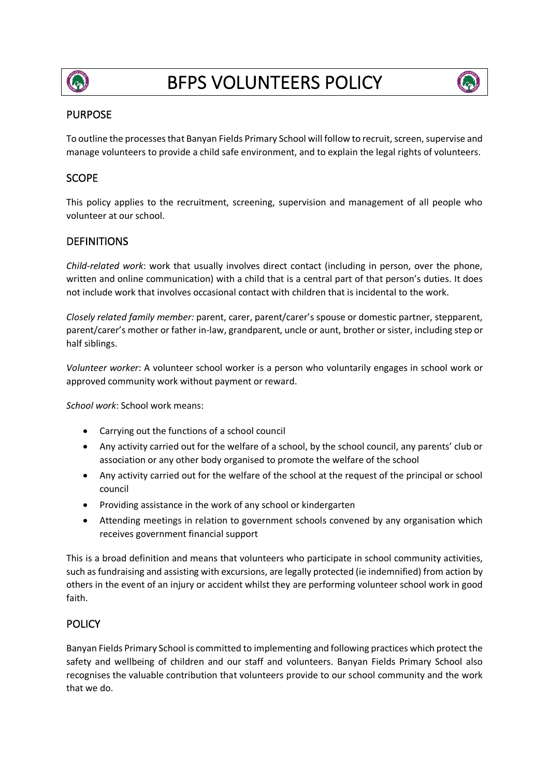

# BFPS VOLUNTEERS POLICY



## PURPOSE

To outline the processes that Banyan Fields Primary School will follow to recruit, screen, supervise and manage volunteers to provide a child safe environment, and to explain the legal rights of volunteers.

# **SCOPE**

This policy applies to the recruitment, screening, supervision and management of all people who volunteer at our school.

# **DEFINITIONS**

*Child-related work*: work that usually involves direct contact (including in person, over the phone, written and online communication) with a child that is a central part of that person's duties. It does not include work that involves occasional contact with children that is incidental to the work.

*Closely related family member:* parent, carer, parent/carer's spouse or domestic partner, stepparent, parent/carer's mother or father in-law, grandparent, uncle or aunt, brother or sister, including step or half siblings.

*Volunteer worker*: A volunteer school worker is a person who voluntarily engages in school work or approved community work without payment or reward.

*School work*: School work means:

- Carrying out the functions of a school council
- Any activity carried out for the welfare of a school, by the school council, any parents' club or association or any other body organised to promote the welfare of the school
- Any activity carried out for the welfare of the school at the request of the principal or school council
- Providing assistance in the work of any school or kindergarten
- Attending meetings in relation to government schools convened by any organisation which receives government financial support

This is a broad definition and means that volunteers who participate in school community activities, such as fundraising and assisting with excursions, are legally protected (ie indemnified) from action by others in the event of an injury or accident whilst they are performing volunteer school work in good faith.

# POLICY

Banyan Fields Primary School is committed to implementing and following practices which protect the safety and wellbeing of children and our staff and volunteers. Banyan Fields Primary School also recognises the valuable contribution that volunteers provide to our school community and the work that we do.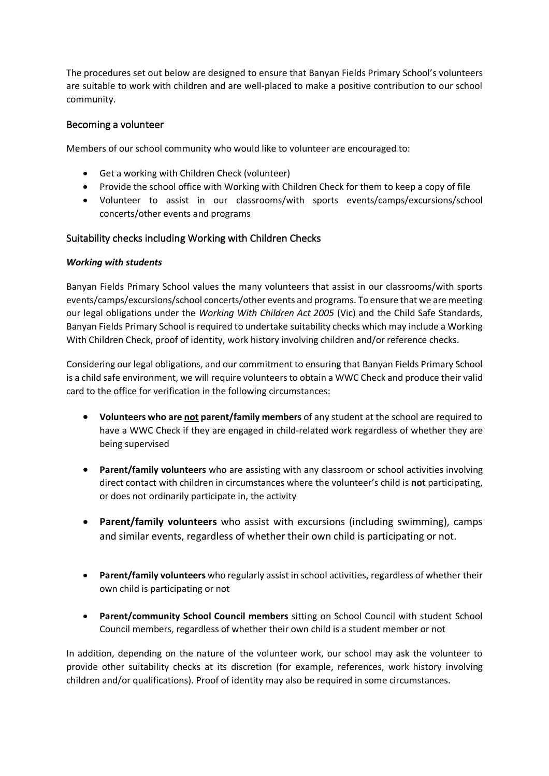The procedures set out below are designed to ensure that Banyan Fields Primary School's volunteers are suitable to work with children and are well-placed to make a positive contribution to our school community.

## Becoming a volunteer

Members of our school community who would like to volunteer are encouraged to:

- Get a working with Children Check (volunteer)
- Provide the school office with Working with Children Check for them to keep a copy of file
- Volunteer to assist in our classrooms/with sports events/camps/excursions/school concerts/other events and programs

### Suitability checks including Working with Children Checks

#### *Working with students*

Banyan Fields Primary School values the many volunteers that assist in our classrooms/with sports events/camps/excursions/school concerts/other events and programs. To ensure that we are meeting our legal obligations under the *Working With Children Act 2005* (Vic) and the Child Safe Standards, Banyan Fields Primary School is required to undertake suitability checks which may include a Working With Children Check, proof of identity, work history involving children and/or reference checks.

Considering our legal obligations, and our commitment to ensuring that Banyan Fields Primary School is a child safe environment, we will require volunteers to obtain a WWC Check and produce their valid card to the office for verification in the following circumstances:

- **Volunteers who are not parent/family members** of any student at the school are required to have a WWC Check if they are engaged in child-related work regardless of whether they are being supervised
- **Parent/family volunteers** who are assisting with any classroom or school activities involving direct contact with children in circumstances where the volunteer's child is **not** participating, or does not ordinarily participate in, the activity
- **Parent/family volunteers** who assist with excursions (including swimming), camps and similar events, regardless of whether their own child is participating or not.
- **Parent/family volunteers** who regularly assist in school activities, regardless of whether their own child is participating or not
- **Parent/community School Council members** sitting on School Council with student School Council members, regardless of whether their own child is a student member or not

In addition, depending on the nature of the volunteer work, our school may ask the volunteer to provide other suitability checks at its discretion (for example, references, work history involving children and/or qualifications). Proof of identity may also be required in some circumstances.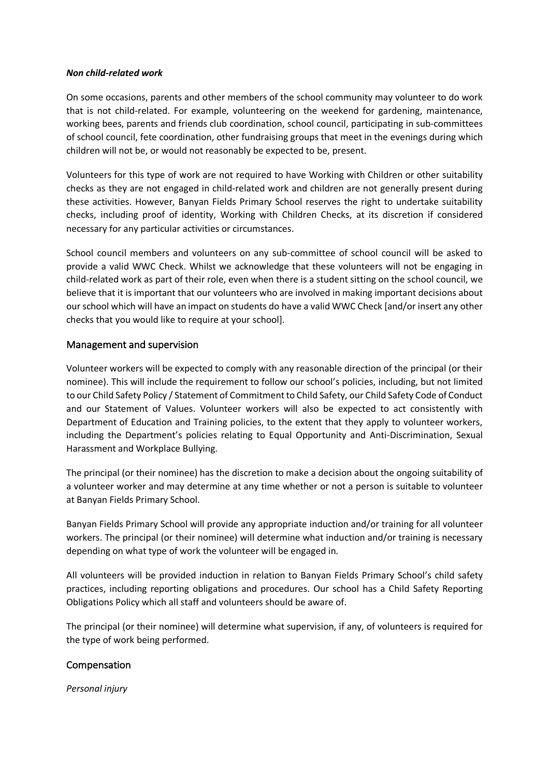#### *Non child-related work*

On some occasions, parents and other members of the school community may volunteer to do work that is not child-related. For example, volunteering on the weekend for gardening, maintenance, working bees, parents and friends club coordination, school council, participating in sub-committees of school council, fete coordination, other fundraising groups that meet in the evenings during which children will not be, or would not reasonably be expected to be, present.

Volunteers for this type of work are not required to have Working with Children or other suitability checks as they are not engaged in child-related work and children are not generally present during these activities. However, Banyan Fields Primary School reserves the right to undertake suitability checks, including proof of identity, Working with Children Checks, at its discretion if considered necessary for any particular activities or circumstances.

School council members and volunteers on any sub-committee of school council will be asked to provide a valid WWC Check. Whilst we acknowledge that these volunteers will not be engaging in child-related work as part of their role, even when there is a student sitting on the school council, we believe that it is important that our volunteers who are involved in making important decisions about our school which will have an impact on students do have a valid WWC Check [and/or insert any other checks that you would like to require at your school].

## Management and supervision

Volunteer workers will be expected to comply with any reasonable direction of the principal (or their nominee). This will include the requirement to follow our school's policies, including, but not limited to our Child Safety Policy / Statement of Commitment to Child Safety, our Child Safety Code of Conduct and our Statement of Values. Volunteer workers will also be expected to act consistently with Department of Education and Training policies, to the extent that they apply to volunteer workers, including the Department's policies relating to Equal Opportunity and Anti-Discrimination, Sexual Harassment and Workplace Bullying.

The principal (or their nominee) has the discretion to make a decision about the ongoing suitability of a volunteer worker and may determine at any time whether or not a person is suitable to volunteer at Banyan Fields Primary School.

Banyan Fields Primary School will provide any appropriate induction and/or training for all volunteer workers. The principal (or their nominee) will determine what induction and/or training is necessary depending on what type of work the volunteer will be engaged in.

All volunteers will be provided induction in relation to Banyan Fields Primary School's child safety practices, including reporting obligations and procedures. Our school has a Child Safety Reporting Obligations Policy which all staff and volunteers should be aware of.

The principal (or their nominee) will determine what supervision, if any, of volunteers is required for the type of work being performed.

## Compensation

*Personal injury*